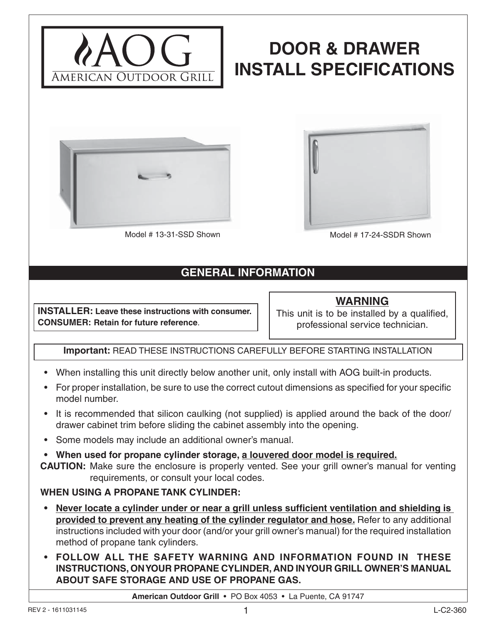

# **DOOR & DRAWER INSTALL SPECIFICATIONS**





Model # 13-31-SSD Shown Model # 17-24-SSDR Shown

# **GENERAL INFORMATION**

**INSTALLER: Leave these instructions with consumer. CONSUMER: Retain for future reference**.

**WARNING** This unit is to be installed by a qualified, professional service technician.

## **Important:** READ THESE INSTRUCTIONS CAREFULLY BEFORE STARTING INSTALLATION

- When installing this unit directly below another unit, only install with AOG built-in products.
- For proper installation, be sure to use the correct cutout dimensions as specified for your specific model number.
- It is recommended that silicon caulking (not supplied) is applied around the back of the door/ drawer cabinet trim before sliding the cabinet assembly into the opening.
- Some models may include an additional owner's manual.
- **When used for propane cylinder storage, a louvered door model is required.**
- **CAUTION:** Make sure the enclosure is properly vented. See your grill owner's manual for venting requirements, or consult your local codes.

## **WHEN USING A PROPANE TANK CYLINDER:**

- **Never locate a cylinder under or near a grill unless sufficient ventilation and shielding is provided to prevent any heating of the cylinder regulator and hose.** Refer to any additional instructions included with your door (and/or your grill owner's manual) for the required installation method of propane tank cylinders.
- **FOLLOW ALL THE SAFETY WARNING AND INFORMATION FOUND IN THESE INSTRUCTIONS, ON YOUR PROPANE CYLINDER, AND IN YOUR GRILL OWNER'S MANUAL ABOUT SAFE STORAGE AND USE OF PROPANE GAS.**

**American Outdoor Grill** • PO Box 4053 • La Puente, CA 91747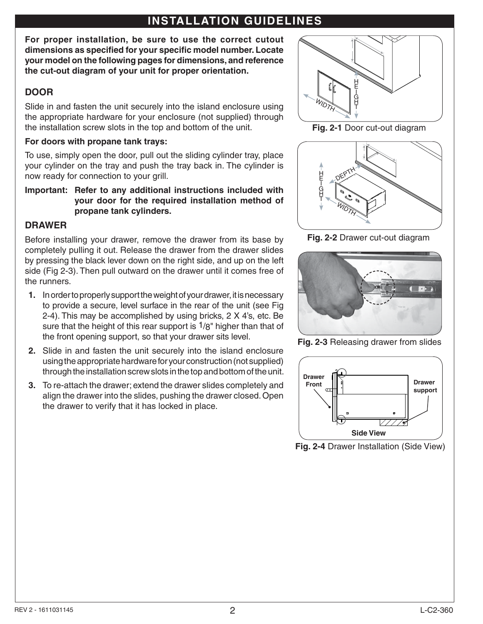# **INSTALLATION GUIDELINES**

**For proper installation, be sure to use the correct cutout**  dimensions as specified for your specific model number. Locate **your model on the following pages for dimensions, and reference the cut-out diagram of your unit for proper orientation.**

## **DOOR**

Slide in and fasten the unit securely into the island enclosure using the appropriate hardware for your enclosure (not supplied) through the installation screw slots in the top and bottom of the unit.

#### **For doors with propane tank trays:**

To use, simply open the door, pull out the sliding cylinder tray, place your cylinder on the tray and push the tray back in. The cylinder is now ready for connection to your grill.

**Important: Refer to any additional instructions included with your door for the required installation method of propane tank cylinders.**

## **DRAWER**

Before installing your drawer, remove the drawer from its base by completely pulling it out. Release the drawer from the drawer slides by pressing the black lever down on the right side, and up on the left side (Fig 2-3). Then pull outward on the drawer until it comes free of the runners.

- **1.** In order to properly support the weight of your drawer, it is necessary to provide a secure, level surface in the rear of the unit (see Fig 2-4). This may be accomplished by using bricks, 2 X 4's, etc. Be sure that the height of this rear support is  $1/8$ " higher than that of the front opening support, so that your drawer sits level.
- **2.** Slide in and fasten the unit securely into the island enclosure using the appropriate hardware for your construction (not supplied) through the installation screw slots in the top and bottom of the unit.
- **3.** To re-attach the drawer; extend the drawer slides completely and align the drawer into the slides, pushing the drawer closed. Open the drawer to verify that it has locked in place.



**Fig. 2-1** Door cut-out diagram



**Fig. 2-2** Drawer cut-out diagram



**Fig. 2-3** Releasing drawer from slides



**Fig. 2-4** Drawer Installation (Side View)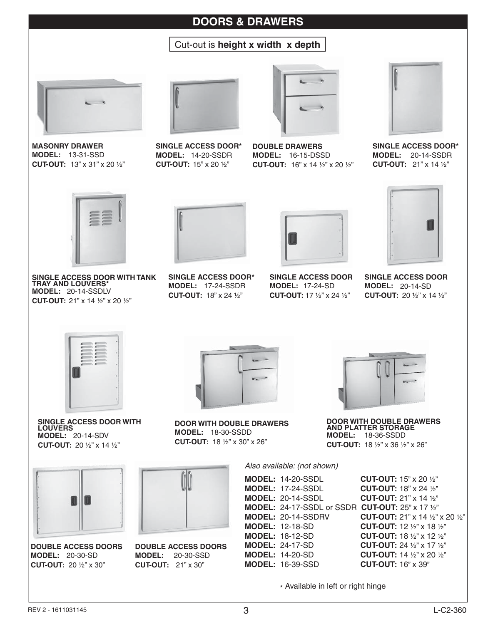## **DOORS & DRAWERS**

## Cut-out is **height x width x depth**



**MASONRY DRAWER MODEL:** 13-31-SSD **CUT-OUT:** 13" x 31" x 20 ½"



**SINGLE ACCESS DOOR\* MODEL:** 14-20-SSDR **CUT-OUT:** 15" x 20 ½"



**DOUBLE DRAWERS MODEL:** 16-15-DSSD **CUT-OUT:** 16" x 14 ½" x 20 ½"



**SINGLE ACCESS DOOR\* MODEL:** 20-14-SSDR **CUT-OUT:** 21" x 14 ½"



**SINGLE ACCESS DOOR WITH TANK TRAY AND LOUVERS\* MODEL:** 20-14-SSDLV **CUT-OUT:** 21" x 14 ½" x 20 ½"



**SINGLE ACCESS DOOR\* MODEL:** 17-24-SSDR **CUT-OUT:** 18" x 24 ½"



**SINGLE ACCESS DOOR MODEL:** 17-24-SD **CUT-OUT:** 17 ½" x 24 ½"



**SINGLE ACCESS DOOR MODEL:** 20-14-SD **CUT-OUT:** 20 ½" x 14 ½"



**SINGLE ACCESS DOOR WITH LOUVERS MODEL:** 20-14-SDV **CUT-OUT:** 20 ½" x 14 ½"



**DOUBLE ACCESS DOORS MODEL:** 20-30-SD **CUT-OUT:** 20 ½" x 30"



**DOOR WITH DOUBLE DRAWERS MODEL:** 18-30-SSDD **CUT-OUT:** 18 ½" x 30" x 26"



**DOUBLE ACCESS DOORS MODEL:** 20-30-SSD **CUT-OUT:** 21" x 30"



**DOOR WITH DOUBLE DRAWERS AND PLATTER STORAGE MODEL:** 18-36-SSDD **CUT-OUT:** 18 ½" x 36 ½" x 26"

*Also available: (not shown)*

| <b>MODEL: 14-20-SSDL</b>  |
|---------------------------|
| <b>MODEL: 17-24-SSDL</b>  |
| <b>MODEL: 20-14-SSDL</b>  |
| MODEL: 24-17-SSDL or SSI  |
| <b>MODEL: 20-14-SSDRV</b> |
| <b>MODEL: 12-18-SD</b>    |
| <b>MODEL: 18-12-SD</b>    |
| <b>MODEL: 24-17-SD</b>    |
| <b>MODEL: 14-20-SD</b>    |
| <b>MODEL: 16-39-SSD</b>   |
|                           |

**CUT-OUT:** 15" x 20 1/2" **CUT-OUT:** 18" x 24 1/2" **CUT-OUT:** 21" x 14 1/2" **DR CUT-OUT:** 25" x 17 1/2" **CUT-OUT:** 21" x 14 1/2" x 20 1/2" **CUT-OUT:** 12 ½" x 18 ½" **CUT-OUT:** 18 ½" x 12 ½" **CUT-OUT:** 24 ½" x 17 ½" **CUT-OUT:** 14 ½" x 20 ½" **CUT-OUT:** 16" x 39"

\* Available in left or right hinge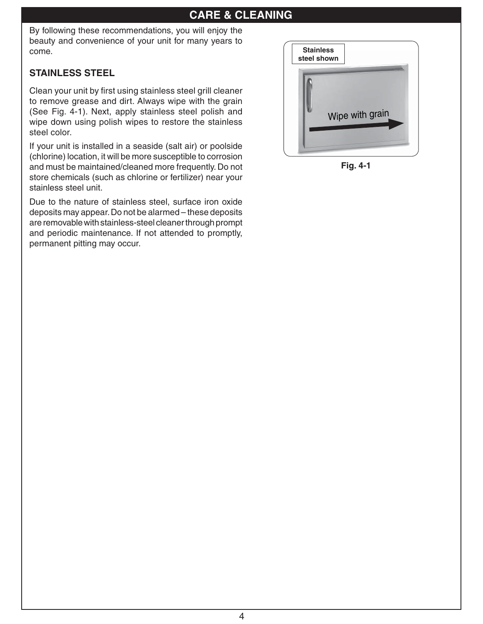## **CARE & CLEANING**

By following these recommendations, you will enjoy the beauty and convenience of your unit for many years to come.

## **STAINLESS STEEL**

Clean your unit by first using stainless steel grill cleaner to remove grease and dirt. Always wipe with the grain (See Fig. 4-1). Next, apply stainless steel polish and wipe down using polish wipes to restore the stainless steel color.

If your unit is installed in a seaside (salt air) or poolside (chlorine) location, it will be more susceptible to corrosion and must be maintained/cleaned more frequently. Do not store chemicals (such as chlorine or fertilizer) near your stainless steel unit.

Due to the nature of stainless steel, surface iron oxide deposits may appear. Do not be alarmed – these deposits are removable with stainless-steel cleaner through prompt and periodic maintenance. If not attended to promptly, permanent pitting may occur.



**Fig. 4-1**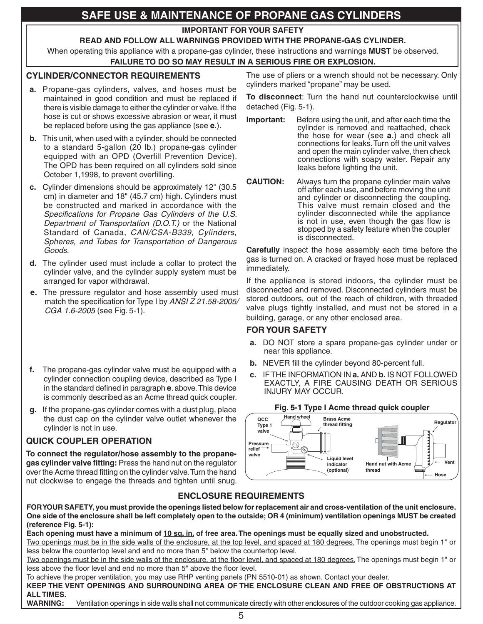# **SAFE USE & MAINTENANCE OF PROPANE GAS CYLINDERS**

**IMPORTANT FOR YOUR SAFETY**

#### **READ AND FOLLOW ALL WARNINGS PROVIDED WITH THE PROPANE-GAS CYLINDER.**

When operating this appliance with a propane-gas cylinder, these instructions and warnings **MUST** be observed. **FAILURE TO DO SO MAY RESULT IN A SERIOUS FIRE OR EXPLOSION.** 

#### **CYLINDER/CONNECTOR REQUIREMENTS**

- **a.** Propane-gas cylinders, valves, and hoses must be maintained in good condition and must be replaced if there is visible damage to either the cylinder or valve. If the hose is cut or shows excessive abrasion or wear, it must be replaced before using the gas appliance (see **e**.).
- **b.** This unit, when used with a cylinder, should be connected to a standard 5-gallon (20 lb.) propane-gas cylinder equipped with an OPD (Overfill Prevention Device). The OPD has been required on all cylinders sold since October 1,1998, to prevent overfilling.
- **c.** Cylinder dimensions should be approximately 12" (30.5 cm) in diameter and 18" (45.7 cm) high. Cylinders must be constructed and marked in accordance with the **Specifications for Propane Gas Cylinders of the U.S.** *Department of Transportation (D.O.T.)* or the National Standard of Canada, *CAN/CSA-B339, Cylinders, Spheres, and Tubes for Transportation of Dangerous Goods.*
- **d.** The cylinder used must include a collar to protect the cylinder valve, and the cylinder supply system must be arranged for vapor withdrawal.
- **e.** The pressure regulator and hose assembly used must match the specification for Type I by *ANSI Z 21.58-2005/ CGA 1.6-2005* (see Fig. 5-1).
- **f.** The propane-gas cylinder valve must be equipped with a cylinder connection coupling device, described as Type I in the standard defined in paragraph **e**. above. This device is commonly described as an Acme thread quick coupler.
- **g.** If the propane-gas cylinder comes with a dust plug, place the dust cap on the cylinder valve outlet whenever the cylinder is not in use.

#### **QUICK COUPLER OPERATION**

**To connect the regulator/hose assembly to the propane**gas cylinder valve fitting: Press the hand nut on the regulator over the Acme thread fitting on the cylinder valve. Turn the hand nut clockwise to engage the threads and tighten until snug.

The use of pliers or a wrench should not be necessary. Only cylinders marked "propane" may be used.

**To disconnect**: Turn the hand nut counterclockwise until detached (Fig. 5-1).

- **Important:** Before using the unit, and after each time the cylinder is removed and reattached, check the hose for wear (see **a**.) and check all connections for leaks. Turn off the unit valves and open the main cylinder valve, then check connections with soapy water. Repair any leaks before lighting the unit.
- **CAUTION:** Always turn the propane cylinder main valve off after each use, and before moving the unit and cylinder or disconnecting the coupling. This valve must remain closed and the cylinder disconnected while the appliance is not in use, even though the gas flow is stopped by a safety feature when the coupler is disconnected.

**Carefully** inspect the hose assembly each time before the gas is turned on. A cracked or frayed hose must be replaced immediately.

If the appliance is stored indoors, the cylinder must be disconnected and removed. Disconnected cylinders must be stored outdoors, out of the reach of children, with threaded valve plugs tightly installed, and must not be stored in a building, garage, or any other enclosed area.

#### **FOR YOUR SAFETY**

- **a.** DO NOT store a spare propane-gas cylinder under or near this appliance.
- **b.** NEVER fill the cylinder beyond 80-percent full.
- **c.** IF THE INFORMATION IN **a.** AND **b.** IS NOT FOLLOWED EXACTLY, A FIRE CAUSING DEATH OR SERIOUS INJURY MAY OCCUR.



#### **ENCLOSURE REQUIREMENTS**

**FOR YOUR SAFETY, you must provide the openings listed below for replacement air and cross-ventilation of the unit enclosure. One side of the enclosure shall be left completely open to the outside; OR 4 (minimum) ventilation openings MUST be created (reference Fig. 5-1):**

**Each opening must have a minimum of 10 sq. in. of free area. The openings must be equally sized and unobstructed.** Two openings must be in the side walls of the enclosure, at the top level, and spaced at 180 degrees. The openings must begin 1" or less below the countertop level and end no more than 5" below the countertop level.

Two openings must be in the side walls of the enclosure, at the floor level, and spaced at 180 degrees. The openings must begin 1" or less above the floor level and end no more than 5" above the floor level.

To achieve the proper ventilation, you may use RHP venting panels (PN 5510-01) as shown. Contact your dealer. **KEEP THE VENT OPENINGS AND SURROUNDING AREA OF THE ENCLOSURE CLEAN AND FREE OF OBSTRUCTIONS AT ALL TIMES.**

**WARNING:** Ventilation openings in side walls shall not communicate directly with other enclosures of the outdoor cooking gas appliance.